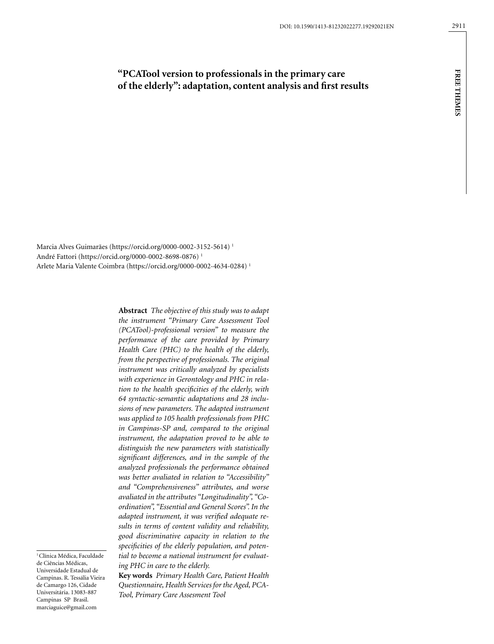# **"PCATool version to professionals in the primary care of the elderly": adaptation, content analysis and first results**

Marcia Alves Guimarães (https://orcid.org/0000-0002-3152-5614) 1 André Fattori (https://orcid.org/0000-0002-8698-0876) 1 Arlete Maria Valente Coimbra (https://orcid.org/0000-0002-4634-0284) 1

> **Abstract** *The objective of this study was to adapt the instrument "Primary Care Assessment Tool (PCATool)-professional version" to measure the performance of the care provided by Primary Health Care (PHC) to the health of the elderly, from the perspective of professionals. The original instrument was critically analyzed by specialists with experience in Gerontology and PHC in relation to the health specificities of the elderly, with 64 syntactic-semantic adaptations and 28 inclusions of new parameters. The adapted instrument was applied to 105 health professionals from PHC in Campinas-SP and, compared to the original instrument, the adaptation proved to be able to distinguish the new parameters with statistically significant differences, and in the sample of the analyzed professionals the performance obtained was better avaliated in relation to "Accessibility" and "Comprehensiveness" attributes, and worse avaliated in the attributes "Longitudinality", "Coordination", "Essential and General Scores". In the adapted instrument, it was verified adequate results in terms of content validity and reliability, good discriminative capacity in relation to the specificities of the elderly population, and potential to become a national instrument for evaluating PHC in care to the elderly.*

<sup>1</sup> Clínica Médica, Faculdade de Ciências Médicas, Universidade Estadual de Campinas. R. Tessália Vieira de Camargo 126, Cidade Universitária. 13083-887 Campinas SP Brasil. marciaguice@gmail.com

**Key words** *Primary Health Care, Patient Health Questionnaire, Health Services for the Aged, PCA-Tool, Primary Care Assesment Tool*

**free themes**

**FREE THEMES**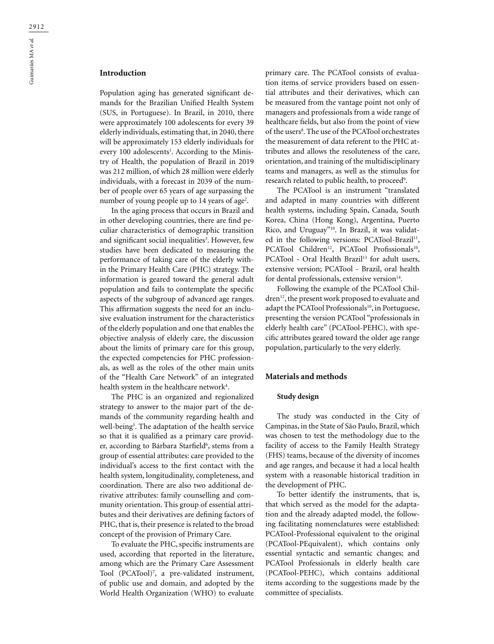# **Introduction**

Population aging has generated significant demands for the Brazilian Unified Health System (SUS, in Portuguese). In Brazil, in 2010, there were approximately 100 adolescents for every 39 elderly individuals, estimating that, in 2040, there will be approximately 153 elderly individuals for every 100 adolescents<sup>1</sup>. According to the Ministry of Health, the population of Brazil in 2019 was 212 million, of which 28 million were elderly individuals, with a forecast in 2039 of the number of people over 65 years of age surpassing the number of young people up to 14 years of age<sup>2</sup>.

In the aging process that occurs in Brazil and in other developing countries, there are find peculiar characteristics of demographic transition and significant social inequalities<sup>3</sup>. However, few studies have been dedicated to measuring the performance of taking care of the elderly within the Primary Health Care (PHC) strategy. The information is geared toward the general adult population and fails to contemplate the specific aspects of the subgroup of advanced age ranges. This affirmation suggests the need for an inclusive evaluation instrument for the characteristics of the elderly population and one that enables the objective analysis of elderly care, the discussion about the limits of primary care for this group, the expected competencies for PHC professionals, as well as the roles of the other main units of the "Health Care Network" of an integrated health system in the healthcare network<sup>4</sup>.

The PHC is an organized and regionalized strategy to answer to the major part of the demands of the community regarding health and well-being5 . The adaptation of the health service so that it is qualified as a primary care provider, according to Bárbara Starfield<sup>6</sup>, stems from a group of essential attributes: care provided to the individual's access to the first contact with the health system, longitudinality, completeness, and coordination. There are also two additional derivative attributes: family counselling and community orientation. This group of essential attributes and their derivatives are defining factors of PHC, that is, their presence is related to the broad concept of the provision of Primary Care.

To evaluate the PHC, specific instruments are used, according that reported in the literature, among which are the Primary Care Assessment Tool (PCATool)7 , a pre-validated instrument, of public use and domain, and adopted by the World Health Organization (WHO) to evaluate

primary care. The PCATool consists of evaluation items of service providers based on essential attributes and their derivatives, which can be measured from the vantage point not only of managers and professionals from a wide range of healthcare fields, but also from the point of view of the users<sup>8</sup>. The use of the PCATool orchestrates the measurement of data referent to the PHC attributes and allows the resoluteness of the care, orientation, and training of the multidisciplinary teams and managers, as well as the stimulus for research related to public health, to proceed<sup>9</sup>.

The PCATool is an instrument "translated and adapted in many countries with different health systems, including Spain, Canada, South Korea, China (Hong Kong), Argentina, Puerto Rico, and Uruguay"10. In Brazil, it was validated in the following versions: PCATool-Brazil<sup>11</sup>, PCATool Children<sup>12</sup>, PCATool Profissionals<sup>10</sup>, PCATool - Oral Health Brazil<sup>13</sup> for adult users, extensive version; PCATool - Brazil, oral health for dental professionals, extensive version $14$ .

Following the example of the PCATool Children<sup>12</sup>, the present work proposed to evaluate and adapt the PCATool Professionals<sup>10</sup>, in Portuguese, presenting the version PCATool "professionals in elderly health care" (PCATool-PEHC), with specific attributes geared toward the older age range population, particularly to the very elderly.

### **Materials and methods**

## **Study design**

The study was conducted in the City of Campinas, in the State of São Paulo, Brazil, which was chosen to test the methodology due to the facility of access to the Family Health Strategy (FHS) teams, because of the diversity of incomes and age ranges, and because it had a local health system with a reasonable historical tradition in the development of PHC.

To better identify the instruments, that is, that which served as the model for the adaptation and the already adapted model, the following facilitating nomenclatures were established: PCATool-Professional equivalent to the original (PCATool-PEquivalent), which contains only essential syntactic and semantic changes; and PCATool Professionals in elderly health care (PCATool-PEHC), which contains additional items according to the suggestions made by the committee of specialists.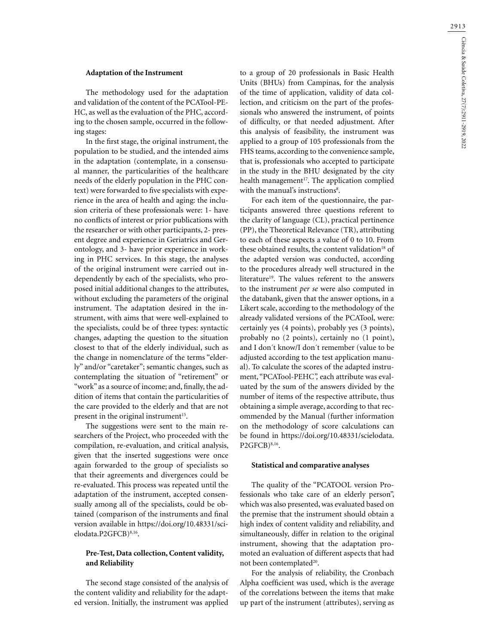#### **Adaptation of the Instrument**

The methodology used for the adaptation and validation of the content of the PCATool-PE-HC, as well as the evaluation of the PHC, according to the chosen sample, occurred in the following stages:

In the first stage, the original instrument, the population to be studied, and the intended aims in the adaptation (contemplate, in a consensual manner, the particularities of the healthcare needs of the elderly population in the PHC context) were forwarded to five specialists with experience in the area of health and aging: the inclusion criteria of these professionals were: 1- have no conflicts of interest or prior publications with the researcher or with other participants, 2- present degree and experience in Geriatrics and Gerontology, and 3- have prior experience in working in PHC services. In this stage, the analyses of the original instrument were carried out independently by each of the specialists, who proposed initial additional changes to the attributes, without excluding the parameters of the original instrument. The adaptation desired in the instrument, with aims that were well-explained to the specialists, could be of three types: syntactic changes, adapting the question to the situation closest to that of the elderly individual, such as the change in nomenclature of the terms "elderly" and/or "caretaker"; semantic changes, such as contemplating the situation of "retirement" or "work" as a source of income; and, finally, the addition of items that contain the particularities of the care provided to the elderly and that are not present in the original instrument<sup>15</sup>.

The suggestions were sent to the main researchers of the Project, who proceeded with the compilation, re-evaluation, and critical analysis, given that the inserted suggestions were once again forwarded to the group of specialists so that their agreements and divergences could be re-evaluated. This process was repeated until the adaptation of the instrument, accepted consensually among all of the specialists, could be obtained (comparison of the instruments and final version available in https://doi.org/10.48331/scielodata.P2GFCB)8,16.

## **Pre-Test, Data collection, Content validity, and Reliability**

The second stage consisted of the analysis of the content validity and reliability for the adapted version. Initially, the instrument was applied to a group of 20 professionals in Basic Health Units (BHUs) from Campinas, for the analysis of the time of application, validity of data collection, and criticism on the part of the professionals who answered the instrument, of points of difficulty, or that needed adjustment. After this analysis of feasibility, the instrument was applied to a group of 105 professionals from the FHS teams, according to the convenience sample, that is, professionals who accepted to participate in the study in the BHU designated by the city health management<sup>17</sup>. The application complied with the manual's instructions<sup>8</sup>.

For each item of the questionnaire, the participants answered three questions referent to the clarity of language (CL), practical pertinence (PP), the Theoretical Relevance (TR), attributing to each of these aspects a value of 0 to 10. From these obtained results, the content validation<sup>18</sup> of the adapted version was conducted, according to the procedures already well structured in the literature<sup>19</sup>. The values referent to the answers to the instrument *per se* were also computed in the databank, given that the answer options, in a Likert scale, according to the methodology of the already validated versions of the PCATool, were: certainly yes (4 points), probably yes (3 points), probably no (2 points), certainly no (1 point), and I don´t know/I don´t remember (value to be adjusted according to the test application manual). To calculate the scores of the adapted instrument, "PCATool-PEHC*",* each attribute was evaluated by the sum of the answers divided by the number of items of the respective attribute, thus obtaining a simple average, according to that recommended by the Manual (further information on the methodology of score calculations can be found in https://doi.org/10.48331/scielodata. P2GFCB)8,16.

#### **Statistical and comparative analyses**

The quality of the "PCATOOL version Professionals who take care of an elderly person", which was also presented, was evaluated based on the premise that the instrument should obtain a high index of content validity and reliability, and simultaneously, differ in relation to the original instrument, showing that the adaptation promoted an evaluation of different aspects that had not been contemplated<sup>20</sup>.

For the analysis of reliability, the Cronbach Alpha coefficient was used, which is the average of the correlations between the items that make up part of the instrument (attributes), serving as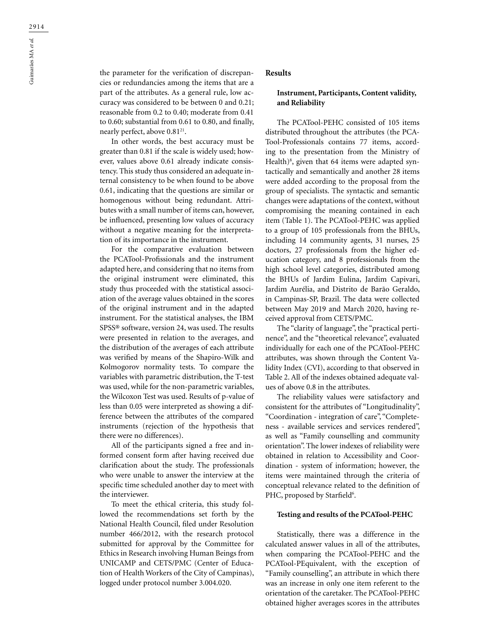the parameter for the verification of discrepancies or redundancies among the items that are a part of the attributes. As a general rule, low accuracy was considered to be between 0 and 0.21; reasonable from 0.2 to 0.40; moderate from 0.41 to 0.60; substantial from 0.61 to 0.80, and finally, nearly perfect, above 0.81<sup>21</sup>.

In other words, the best accuracy must be greater than 0.81 if the scale is widely used; however, values above 0.61 already indicate consistency. This study thus considered an adequate internal consistency to be when found to be above 0.61, indicating that the questions are similar or homogenous without being redundant. Attributes with a small number of items can, however, be influenced, presenting low values of accuracy without a negative meaning for the interpretation of its importance in the instrument.

For the comparative evaluation between the PCATool-Profissionals and the instrument adapted here, and considering that no items from the original instrument were eliminated, this study thus proceeded with the statistical association of the average values obtained in the scores of the original instrument and in the adapted instrument. For the statistical analyses, the IBM SPSS® software, version 24, was used. The results were presented in relation to the averages, and the distribution of the averages of each attribute was verified by means of the Shapiro-Wilk and Kolmogorov normality tests. To compare the variables with parametric distribution, the T-test was used, while for the non-parametric variables, the Wilcoxon Test was used. Results of p-value of less than 0.05 were interpreted as showing a difference between the attributes of the compared instruments (rejection of the hypothesis that there were no differences).

All of the participants signed a free and informed consent form after having received due clarification about the study. The professionals who were unable to answer the interview at the specific time scheduled another day to meet with the interviewer.

To meet the ethical criteria, this study followed the recommendations set forth by the National Health Council, filed under Resolution number 466/2012, with the research protocol submitted for approval by the Committee for Ethics in Research involving Human Beings from UNICAMP and CETS/PMC (Center of Education of Health Workers of the City of Campinas), logged under protocol number 3.004.020.

# **Results**

## **Instrument, Participants, Content validity, and Reliability**

The PCATool-PEHC consisted of 105 items distributed throughout the attributes (the PCA-Tool-Professionals contains 77 items, according to the presentation from the Ministry of Health)<sup>8</sup>, given that 64 items were adapted syntactically and semantically and another 28 items were added according to the proposal from the group of specialists. The syntactic and semantic changes were adaptations of the context, without compromising the meaning contained in each item (Table 1). The PCATool-PEHC was applied to a group of 105 professionals from the BHUs, including 14 community agents, 31 nurses, 25 doctors, 27 professionals from the higher education category, and 8 professionals from the high school level categories, distributed among the BHUs of Jardim Eulina, Jardim Capivari, Jardim Aurélia, and Distrito de Barão Geraldo, in Campinas-SP, Brazil. The data were collected between May 2019 and March 2020, having received approval from CETS/PMC.

The "clarity of language", the "practical pertinence", and the "theoretical relevance", evaluated individually for each one of the PCATool-PEHC attributes, was shown through the Content Validity Index (CVI), according to that observed in Table 2. All of the indexes obtained adequate values of above 0.8 in the attributes.

The reliability values were satisfactory and consistent for the attributes of "Longitudinality", "Coordination - integration of care", "Completeness - available services and services rendered", as well as "Family counselling and community orientation". The lower indexes of reliability were obtained in relation to Accessibility and Coordination - system of information; however, the items were maintained through the criteria of conceptual relevance related to the definition of PHC, proposed by Starfield<sup>6</sup>.

### **Testing and results of the PCATool-PEHC**

Statistically, there was a difference in the calculated answer values in all of the attributes, when comparing the PCATool-PEHC and the PCATool-PEquivalent, with the exception of "Family counselling", an attribute in which there was an increase in only one item referent to the orientation of the caretaker. The PCATool-PEHC obtained higher averages scores in the attributes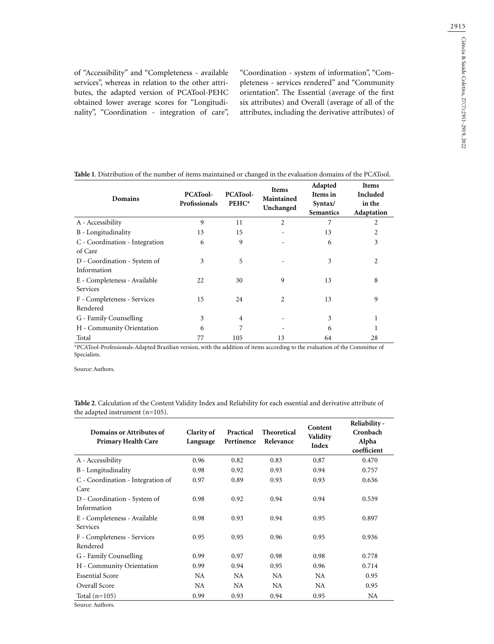of "Accessibility" and "Completeness - available services", whereas in relation to the other attributes, the adapted version of PCATool-PEHC obtained lower average scores for "Longitudinality", "Coordination - integration of care", "Coordination - system of information", "Completeness - services rendered" and "Community orientation". The Essential (average of the first six attributes) and Overall (average of all of the attributes, including the derivative attributes) of

| Domains                                     | <b>PCATool-</b><br>Profissionals | <b>PCATool-</b><br>PEHC* | <b>Items</b><br>Maintained<br>Unchanged | Adapted<br>Items in<br>Syntax/<br><b>Semantics</b> | <b>Items</b><br>Included<br>in the<br>Adaptation |
|---------------------------------------------|----------------------------------|--------------------------|-----------------------------------------|----------------------------------------------------|--------------------------------------------------|
| A - Accessibility                           | 9                                | 11                       | 2                                       | 7                                                  | 2                                                |
| B - Longitudinality                         | 13                               | 15                       |                                         | 13                                                 | 2                                                |
| C - Coordination - Integration<br>of Care   | 6                                | 9                        |                                         | 6                                                  | 3                                                |
| D - Coordination - System of<br>Information | 3                                | 5                        |                                         | 3                                                  | $\overline{c}$                                   |
| E - Completeness - Available<br>Services    | 22                               | 30                       | 9                                       | 13                                                 | 8                                                |
| F - Completeness - Services<br>Rendered     | 15                               | 24                       | 2                                       | 13                                                 | 9                                                |
| G - Family Counselling                      | 3                                | $\overline{4}$           |                                         | 3                                                  |                                                  |
| H - Community Orientation                   | 6                                | 7                        |                                         | 6                                                  |                                                  |
| Total                                       | 77                               | 105                      | 13                                      | 64                                                 | 28                                               |

**Table 1**. Distribution of the number of items maintained or changed in the evaluation domains of the PCATool.

\*PCATool-Professionals-Adapted Brazilian version, with the addition of items according to the evaluation of the Committee of Specialists.

Source: Authors.

**Table 2**. Calculation of the Content Validity Index and Reliability for each essential and derivative attribute of the adapted instrument (n=105).

| Domains or Attributes of<br><b>Primary Health Care</b>       | Clarity of<br>Language | Practical<br>Pertinence | <b>Theoretical</b><br>Relevance | Content<br>Validity<br>Index | Reliability -<br>Cronbach<br>Alpha<br>coefficient |
|--------------------------------------------------------------|------------------------|-------------------------|---------------------------------|------------------------------|---------------------------------------------------|
| A - Accessibility                                            | 0.96                   | 0.82                    | 0.83                            | 0.87                         | 0.470                                             |
| B - Longitudinality                                          | 0.98                   | 0.92                    | 0.93                            | 0.94                         | 0.757                                             |
| C - Coordination - Integration of<br>Care                    | 0.97                   | 0.89                    | 0.93                            | 0.93                         | 0.636                                             |
| D - Coordination - System of<br>Information                  | 0.98                   | 0.92                    | 0.94                            | 0.94                         | 0.539                                             |
| E - Completeness - Available<br>Services                     | 0.98                   | 0.93                    | 0.94                            | 0.95                         | 0.897                                             |
| F - Completeness - Services<br>Rendered                      | 0.95                   | 0.95                    | 0.96                            | 0.95                         | 0.936                                             |
| G - Family Counselling                                       | 0.99                   | 0.97                    | 0.98                            | 0.98                         | 0.778                                             |
| H - Community Orientation                                    | 0.99                   | 0.94                    | 0.95                            | 0.96                         | 0.714                                             |
| <b>Essential Score</b>                                       | NA.                    | NA                      | NA.                             | NA.                          | 0.95                                              |
| Overall Score                                                | NA.                    | NA.                     | NA.                             | NA.                          | 0.95                                              |
| Total $(n=105)$<br>$\sim$ $\sim$ $\sim$ $\sim$ $\sim$ $\sim$ | 0.99                   | 0.93                    | 0.94                            | 0.95                         | NA                                                |

Source: Authors.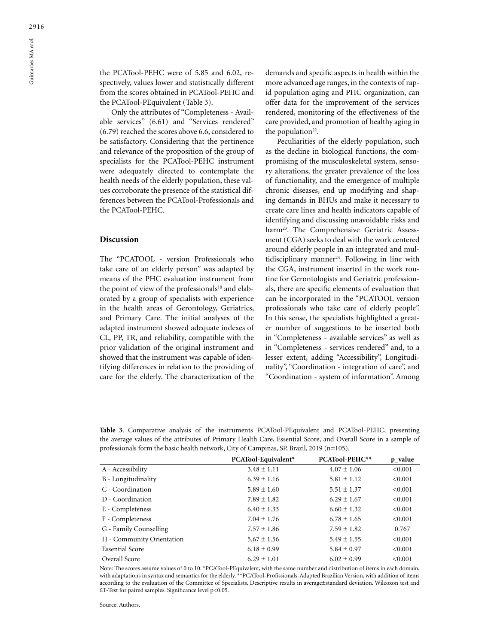the PCATool-PEHC were of 5.85 and 6.02, respectively, values lower and statistically different from the scores obtained in PCATool-PEHC and the PCATool-PEquivalent (Table 3).

Only the attributes of "Completeness - Available services" (6.61) and "Services rendered" (6.79) reached the scores above 6.6, considered to be satisfactory. Considering that the pertinence and relevance of the proposition of the group of specialists for the PCATool-PEHC instrument were adequately directed to contemplate the health needs of the elderly population, these values corroborate the presence of the statistical differences between the PCATool-Professionals and the PCATool-PEHC.

### **Discussion**

The "PCATOOL - version Professionals who take care of an elderly person" was adapted by means of the PHC evaluation instrument from the point of view of the professionals<sup>10</sup> and elaborated by a group of specialists with experience in the health areas of Gerontology, Geriatrics, and Primary Care. The initial analyses of the adapted instrument showed adequate indexes of CL, PP, TR, and reliability, compatible with the prior validation of the original instrument and showed that the instrument was capable of identifying differences in relation to the providing of care for the elderly. The characterization of the

demands and specific aspects in health within the more advanced age ranges, in the contexts of rapid population aging and PHC organization, can offer data for the improvement of the services rendered, monitoring of the effectiveness of the care provided, and promotion of healthy aging in the population<sup>22</sup>.

Peculiarities of the elderly population, such as the decline in biological functions, the compromising of the musculoskeletal system, sensory alterations, the greater prevalence of the loss of functionality, and the emergence of multiple chronic diseases, end up modifying and shaping demands in BHUs and make it necessary to create care lines and health indicators capable of identifying and discussing unavoidable risks and harm<sup>23</sup>. The Comprehensive Geriatric Assessment (CGA) seeks to deal with the work centered around elderly people in an integrated and multidisciplinary manner<sup>24</sup>. Following in line with the CGA, instrument inserted in the work routine for Gerontologists and Geriatric professionals, there are specific elements of evaluation that can be incorporated in the "PCATOOL version professionals who take care of elderly people". In this sense, the specialists highlighted a greater number of suggestions to be inserted both in "Completeness - available services" as well as in "Completeness - services rendered" and, to a lesser extent, adding "Accessibility", Longitudinality", "Coordination - integration of care", and "Coordination - system of information". Among

**Table 3**. Comparative analysis of the instruments PCATool-PEquivalent and PCATool-PEHC, presenting the average values of the attributes of Primary Health Care, Essential Score, and Overall Score in a sample of professionals form the basic health network, City of Campinas, SP, Brazil, 2019 (n=105).

| PCATool-Equivalent* | PCATool-PEHC**  | p_value |
|---------------------|-----------------|---------|
| $3.48 \pm 1.11$     | $4.07 \pm 1.06$ | < 0.001 |
| $6.39 \pm 1.16$     | $5.81 \pm 1.12$ | < 0.001 |
| $5.89 \pm 1.60$     | $5.51 \pm 1.37$ | < 0.001 |
| $7.89 \pm 1.82$     | $6.29 \pm 1.67$ | < 0.001 |
| $6.40 \pm 1.33$     | $6.60 \pm 1.32$ | < 0.001 |
| $7.04 \pm 1.76$     | $6.78 \pm 1.65$ | < 0.001 |
| $7.57 \pm 1.86$     | $7.59 \pm 1.82$ | 0.767   |
| $5.67 \pm 1.56$     | $5.49 \pm 1.55$ | < 0.001 |
| $6.18 \pm 0.99$     | $5.84 \pm 0.97$ | < 0.001 |
| $6.29 \pm 1.01$     | $6.02 \pm 0.99$ | < 0.001 |
|                     |                 |         |

Note: The scores assume values of 0 to 10. \*PCATool-PEquivalent, with the same number and distribution of items in each domain, with adaptations in syntax and semantics for the elderly. \*\*PCATool-Profissionals-Adapted Brazilian Version, with addition of items according to the evaluation of the Committee of Specialists. Descriptive results in average±standard deviation. Wilcoxon test and £T-Test for paired samples. Significance level  $p<0.05$ .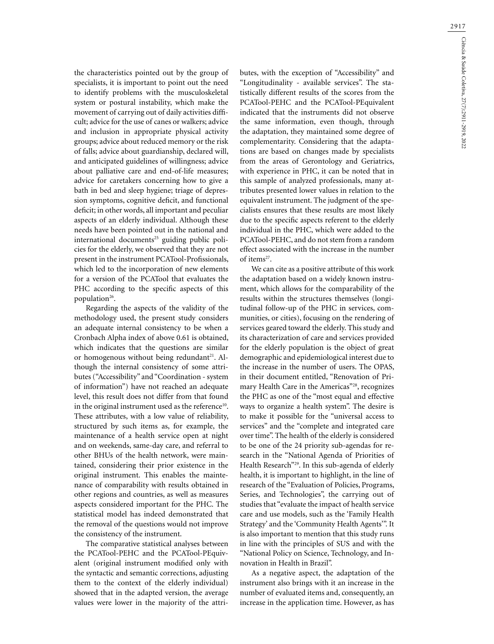2917

the characteristics pointed out by the group of specialists, it is important to point out the need to identify problems with the musculoskeletal system or postural instability, which make the movement of carrying out of daily activities difficult; advice for the use of canes or walkers; advice and inclusion in appropriate physical activity groups; advice about reduced memory or the risk of falls; advice about guardianship, declared will, and anticipated guidelines of willingness; advice about palliative care and end-of-life measures; advice for caretakers concerning how to give a bath in bed and sleep hygiene; triage of depression symptoms, cognitive deficit, and functional deficit; in other words, all important and peculiar aspects of an elderly individual. Although these needs have been pointed out in the national and international documents<sup>25</sup> guiding public policies for the elderly, we observed that they are not present in the instrument PCATool-Profissionals, which led to the incorporation of new elements for a version of the PCATool that evaluates the PHC according to the specific aspects of this population<sup>26</sup>.

Regarding the aspects of the validity of the methodology used, the present study considers an adequate internal consistency to be when a Cronbach Alpha index of above 0.61 is obtained, which indicates that the questions are similar or homogenous without being redundant<sup>21</sup>. Although the internal consistency of some attributes ("Accessibility" and "Coordination - system of information") have not reached an adequate level, this result does not differ from that found in the original instrument used as the reference<sup>10</sup>. These attributes, with a low value of reliability, structured by such items as, for example, the maintenance of a health service open at night and on weekends, same-day care, and referral to other BHUs of the health network, were maintained, considering their prior existence in the original instrument. This enables the maintenance of comparability with results obtained in other regions and countries, as well as measures aspects considered important for the PHC. The statistical model has indeed demonstrated that the removal of the questions would not improve the consistency of the instrument.

The comparative statistical analyses between the PCATool-PEHC and the PCATool-PEquivalent (original instrument modified only with the syntactic and semantic corrections, adjusting them to the context of the elderly individual) showed that in the adapted version, the average values were lower in the majority of the attributes, with the exception of "Accessibility" and "Longitudinality - available services". The statistically different results of the scores from the PCATool-PEHC and the PCATool-PEquivalent indicated that the instruments did not observe the same information, even though, through the adaptation, they maintained some degree of complementarity. Considering that the adaptations are based on changes made by specialists from the areas of Gerontology and Geriatrics, with experience in PHC, it can be noted that in this sample of analyzed professionals, many attributes presented lower values in relation to the equivalent instrument. The judgment of the specialists ensures that these results are most likely due to the specific aspects referent to the elderly individual in the PHC, which were added to the PCATool-PEHC, and do not stem from a random effect associated with the increase in the number of items<sup>27</sup>.

We can cite as a positive attribute of this work the adaptation based on a widely known instrument, which allows for the comparability of the results within the structures themselves (longitudinal follow-up of the PHC in services, communities, or cities), focusing on the rendering of services geared toward the elderly. This study and its characterization of care and services provided for the elderly population is the object of great demographic and epidemiological interest due to the increase in the number of users. The OPAS, in their document entitled, "Renovation of Primary Health Care in the Americas"<sup>28</sup>, recognizes the PHC as one of the "most equal and effective ways to organize a health system". The desire is to make it possible for the "universal access to services" and the "complete and integrated care over time". The health of the elderly is considered to be one of the 24 priority sub-agendas for research in the "National Agenda of Priorities of Health Research"29. In this sub-agenda of elderly health, it is important to highlight, in the line of research of the "Evaluation of Policies, Programs, Series, and Technologies", the carrying out of studies that "evaluate the impact of health service care and use models, such as the 'Family Health Strategy' and the 'Community Health Agents'". It is also important to mention that this study runs in line with the principles of SUS and with the "National Policy on Science, Technology, and Innovation in Health in Brazil".

As a negative aspect, the adaptation of the instrument also brings with it an increase in the number of evaluated items and, consequently, an increase in the application time. However, as has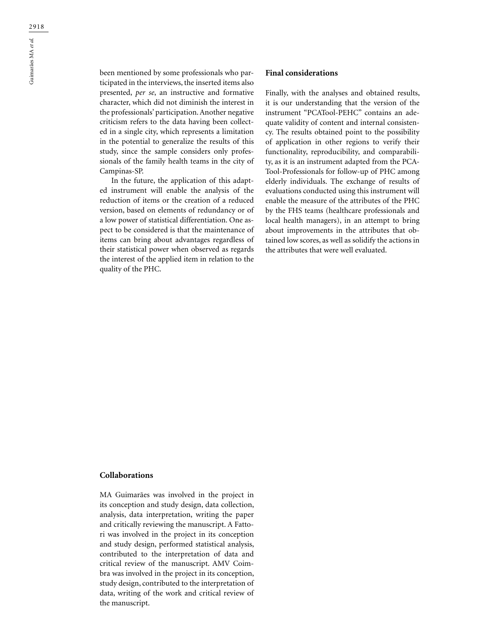Guimarães MA *et al.*

been mentioned by some professionals who participated in the interviews, the inserted items also presented, *per se*, an instructive and formative character, which did not diminish the interest in the professionals' participation. Another negative criticism refers to the data having been collected in a single city, which represents a limitation in the potential to generalize the results of this study, since the sample considers only professionals of the family health teams in the city of Campinas-SP.

In the future, the application of this adapted instrument will enable the analysis of the reduction of items or the creation of a reduced version, based on elements of redundancy or of a low power of statistical differentiation. One aspect to be considered is that the maintenance of items can bring about advantages regardless of their statistical power when observed as regards the interest of the applied item in relation to the quality of the PHC.

# **Final considerations**

Finally, with the analyses and obtained results, it is our understanding that the version of the instrument "PCATool-PEHC" contains an adequate validity of content and internal consistency. The results obtained point to the possibility of application in other regions to verify their functionality, reproducibility, and comparability, as it is an instrument adapted from the PCA-Tool-Professionals for follow-up of PHC among elderly individuals. The exchange of results of evaluations conducted using this instrument will enable the measure of the attributes of the PHC by the FHS teams (healthcare professionals and local health managers), in an attempt to bring about improvements in the attributes that obtained low scores, as well as solidify the actions in the attributes that were well evaluated.

# **Collaborations**

MA Guimarães was involved in the project in its conception and study design, data collection, analysis, data interpretation, writing the paper and critically reviewing the manuscript. A Fattori was involved in the project in its conception and study design, performed statistical analysis, contributed to the interpretation of data and critical review of the manuscript. AMV Coimbra was involved in the project in its conception, study design, contributed to the interpretation of data, writing of the work and critical review of the manuscript.